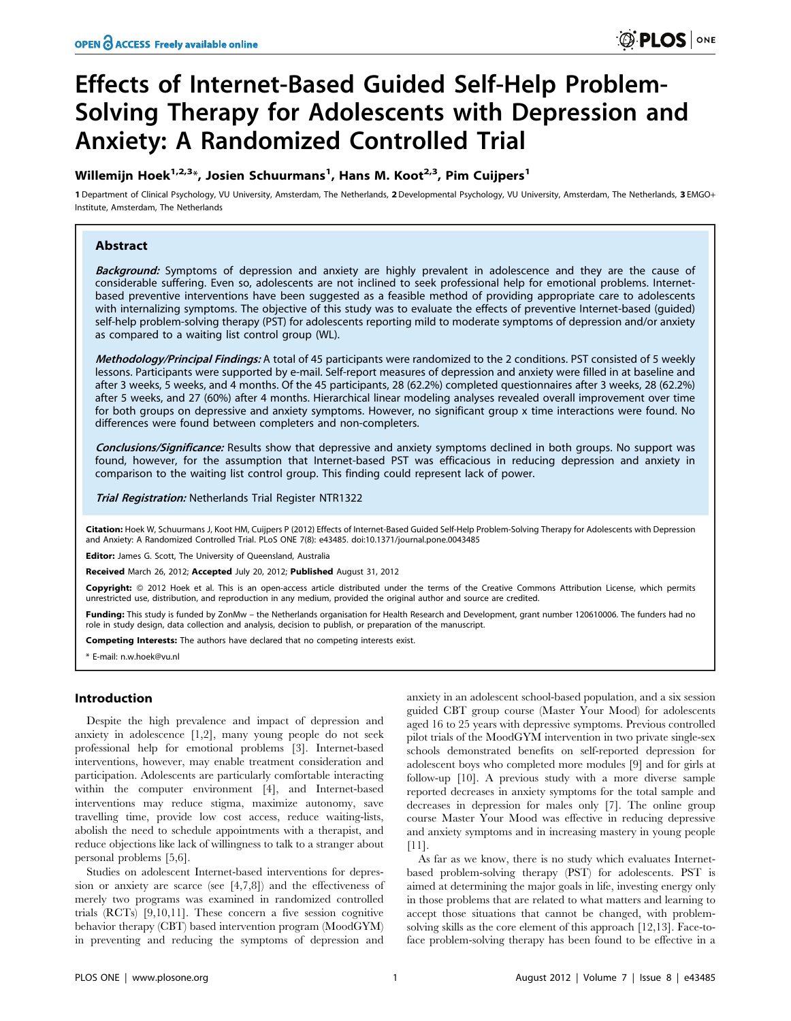# Effects of Internet-Based Guided Self-Help Problem-Solving Therapy for Adolescents with Depression and Anxiety: A Randomized Controlled Trial

## Willemijn Hoek $^{1,2,3_\ast}$ , Josien Schuurmans $^1$ , Hans M. Koot $^{2,3}$ , Pim Cuijpers $^1$

1 Department of Clinical Psychology, VU University, Amsterdam, The Netherlands, 2Developmental Psychology, VU University, Amsterdam, The Netherlands, 3 EMGO+ Institute, Amsterdam, The Netherlands

## Abstract

Background: Symptoms of depression and anxiety are highly prevalent in adolescence and they are the cause of considerable suffering. Even so, adolescents are not inclined to seek professional help for emotional problems. Internetbased preventive interventions have been suggested as a feasible method of providing appropriate care to adolescents with internalizing symptoms. The objective of this study was to evaluate the effects of preventive Internet-based (guided) self-help problem-solving therapy (PST) for adolescents reporting mild to moderate symptoms of depression and/or anxiety as compared to a waiting list control group (WL).

Methodology/Principal Findings: A total of 45 participants were randomized to the 2 conditions. PST consisted of 5 weekly lessons. Participants were supported by e-mail. Self-report measures of depression and anxiety were filled in at baseline and after 3 weeks, 5 weeks, and 4 months. Of the 45 participants, 28 (62.2%) completed questionnaires after 3 weeks, 28 (62.2%) after 5 weeks, and 27 (60%) after 4 months. Hierarchical linear modeling analyses revealed overall improvement over time for both groups on depressive and anxiety symptoms. However, no significant group x time interactions were found. No differences were found between completers and non-completers.

Conclusions/Significance: Results show that depressive and anxiety symptoms declined in both groups. No support was found, however, for the assumption that Internet-based PST was efficacious in reducing depression and anxiety in comparison to the waiting list control group. This finding could represent lack of power.

Trial Registration: Netherlands Trial Register NTR1322

Citation: Hoek W, Schuurmans J, Koot HM, Cuijpers P (2012) Effects of Internet-Based Guided Self-Help Problem-Solving Therapy for Adolescents with Depression and Anxiety: A Randomized Controlled Trial. PLoS ONE 7(8): e43485. doi:10.1371/journal.pone.0043485

Editor: James G. Scott, The University of Queensland, Australia

Received March 26, 2012; Accepted July 20, 2012; Published August 31, 2012

Copyright: © 2012 Hoek et al. This is an open-access article distributed under the terms of the Creative Commons Attribution License, which permits .<br>estricted use, distribution, and reproduction in any medium, provided the original author and source are credited.

Funding: This study is funded by ZonMw – the Netherlands organisation for Health Research and Development, grant number 120610006. The funders had no role in study design, data collection and analysis, decision to publish, or preparation of the manuscript.

Competing Interests: The authors have declared that no competing interests exist.

\* E-mail: n.w.hoek@vu.nl

## Introduction

Despite the high prevalence and impact of depression and anxiety in adolescence [1,2], many young people do not seek professional help for emotional problems [3]. Internet-based interventions, however, may enable treatment consideration and participation. Adolescents are particularly comfortable interacting within the computer environment [4], and Internet-based interventions may reduce stigma, maximize autonomy, save travelling time, provide low cost access, reduce waiting-lists, abolish the need to schedule appointments with a therapist, and reduce objections like lack of willingness to talk to a stranger about personal problems [5,6].

Studies on adolescent Internet-based interventions for depression or anxiety are scarce (see [4,7,8]) and the effectiveness of merely two programs was examined in randomized controlled trials (RCTs) [9,10,11]. These concern a five session cognitive behavior therapy (CBT) based intervention program (MoodGYM) in preventing and reducing the symptoms of depression and

anxiety in an adolescent school-based population, and a six session guided CBT group course (Master Your Mood) for adolescents aged 16 to 25 years with depressive symptoms. Previous controlled pilot trials of the MoodGYM intervention in two private single-sex schools demonstrated benefits on self-reported depression for adolescent boys who completed more modules [9] and for girls at follow-up [10]. A previous study with a more diverse sample reported decreases in anxiety symptoms for the total sample and decreases in depression for males only [7]. The online group course Master Your Mood was effective in reducing depressive and anxiety symptoms and in increasing mastery in young people [11].

As far as we know, there is no study which evaluates Internetbased problem-solving therapy (PST) for adolescents. PST is aimed at determining the major goals in life, investing energy only in those problems that are related to what matters and learning to accept those situations that cannot be changed, with problemsolving skills as the core element of this approach [12,13]. Face-toface problem-solving therapy has been found to be effective in a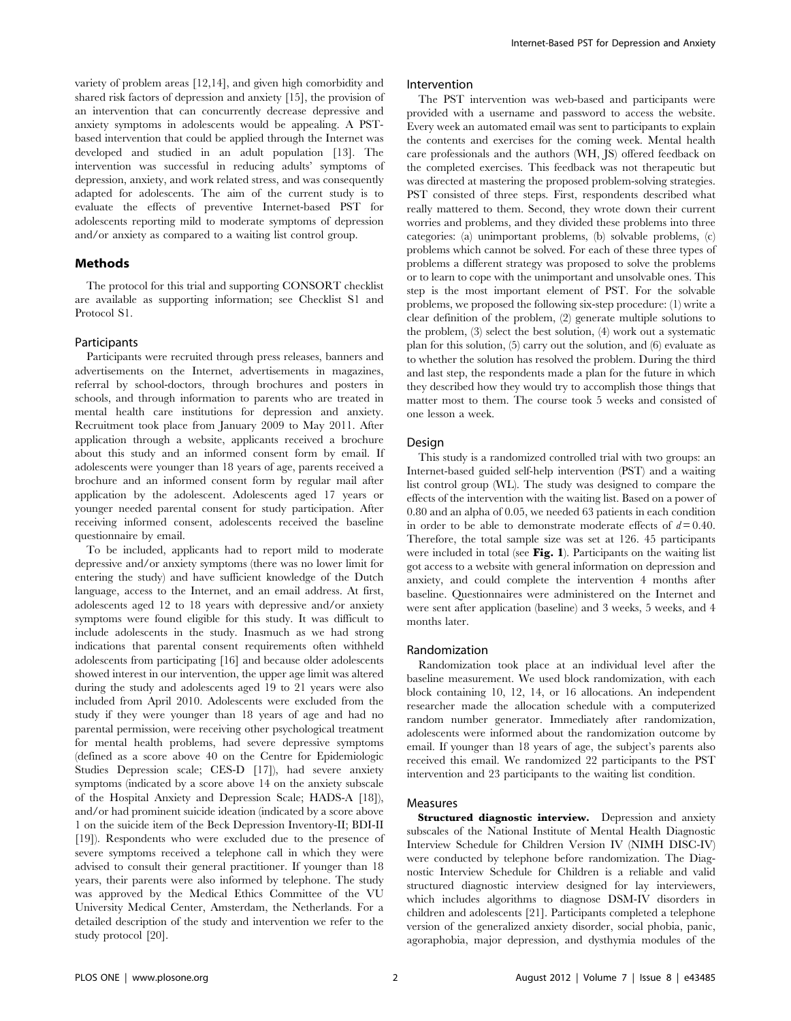variety of problem areas [12,14], and given high comorbidity and shared risk factors of depression and anxiety [15], the provision of an intervention that can concurrently decrease depressive and anxiety symptoms in adolescents would be appealing. A PSTbased intervention that could be applied through the Internet was developed and studied in an adult population [13]. The intervention was successful in reducing adults' symptoms of depression, anxiety, and work related stress, and was consequently adapted for adolescents. The aim of the current study is to evaluate the effects of preventive Internet-based PST for adolescents reporting mild to moderate symptoms of depression and/or anxiety as compared to a waiting list control group.

## Methods

The protocol for this trial and supporting CONSORT checklist are available as supporting information; see Checklist S1 and Protocol S1.

#### Participants

Participants were recruited through press releases, banners and advertisements on the Internet, advertisements in magazines, referral by school-doctors, through brochures and posters in schools, and through information to parents who are treated in mental health care institutions for depression and anxiety. Recruitment took place from January 2009 to May 2011. After application through a website, applicants received a brochure about this study and an informed consent form by email. If adolescents were younger than 18 years of age, parents received a brochure and an informed consent form by regular mail after application by the adolescent. Adolescents aged 17 years or younger needed parental consent for study participation. After receiving informed consent, adolescents received the baseline questionnaire by email.

To be included, applicants had to report mild to moderate depressive and/or anxiety symptoms (there was no lower limit for entering the study) and have sufficient knowledge of the Dutch language, access to the Internet, and an email address. At first, adolescents aged 12 to 18 years with depressive and/or anxiety symptoms were found eligible for this study. It was difficult to include adolescents in the study. Inasmuch as we had strong indications that parental consent requirements often withheld adolescents from participating [16] and because older adolescents showed interest in our intervention, the upper age limit was altered during the study and adolescents aged 19 to 21 years were also included from April 2010. Adolescents were excluded from the study if they were younger than 18 years of age and had no parental permission, were receiving other psychological treatment for mental health problems, had severe depressive symptoms (defined as a score above 40 on the Centre for Epidemiologic Studies Depression scale; CES-D [17]), had severe anxiety symptoms (indicated by a score above 14 on the anxiety subscale of the Hospital Anxiety and Depression Scale; HADS-A [18]), and/or had prominent suicide ideation (indicated by a score above 1 on the suicide item of the Beck Depression Inventory-II; BDI-II [19]). Respondents who were excluded due to the presence of severe symptoms received a telephone call in which they were advised to consult their general practitioner. If younger than 18 years, their parents were also informed by telephone. The study was approved by the Medical Ethics Committee of the VU University Medical Center, Amsterdam, the Netherlands. For a detailed description of the study and intervention we refer to the study protocol [20].

#### Intervention

The PST intervention was web-based and participants were provided with a username and password to access the website. Every week an automated email was sent to participants to explain the contents and exercises for the coming week. Mental health care professionals and the authors (WH, JS) offered feedback on the completed exercises. This feedback was not therapeutic but was directed at mastering the proposed problem-solving strategies. PST consisted of three steps. First, respondents described what really mattered to them. Second, they wrote down their current worries and problems, and they divided these problems into three categories: (a) unimportant problems, (b) solvable problems, (c) problems which cannot be solved. For each of these three types of problems a different strategy was proposed to solve the problems or to learn to cope with the unimportant and unsolvable ones. This step is the most important element of PST. For the solvable problems, we proposed the following six-step procedure: (1) write a clear definition of the problem, (2) generate multiple solutions to the problem, (3) select the best solution, (4) work out a systematic plan for this solution, (5) carry out the solution, and (6) evaluate as to whether the solution has resolved the problem. During the third and last step, the respondents made a plan for the future in which they described how they would try to accomplish those things that matter most to them. The course took 5 weeks and consisted of one lesson a week.

#### Design

This study is a randomized controlled trial with two groups: an Internet-based guided self-help intervention (PST) and a waiting list control group (WL). The study was designed to compare the effects of the intervention with the waiting list. Based on a power of 0.80 and an alpha of 0.05, we needed 63 patients in each condition in order to be able to demonstrate moderate effects of  $d = 0.40$ . Therefore, the total sample size was set at 126. 45 participants were included in total (see Fig. 1). Participants on the waiting list got access to a website with general information on depression and anxiety, and could complete the intervention 4 months after baseline. Questionnaires were administered on the Internet and were sent after application (baseline) and 3 weeks, 5 weeks, and 4 months later.

#### Randomization

Randomization took place at an individual level after the baseline measurement. We used block randomization, with each block containing 10, 12, 14, or 16 allocations. An independent researcher made the allocation schedule with a computerized random number generator. Immediately after randomization, adolescents were informed about the randomization outcome by email. If younger than 18 years of age, the subject's parents also received this email. We randomized 22 participants to the PST intervention and 23 participants to the waiting list condition.

#### Measures

Structured diagnostic interview. Depression and anxiety subscales of the National Institute of Mental Health Diagnostic Interview Schedule for Children Version IV (NIMH DISC-IV) were conducted by telephone before randomization. The Diagnostic Interview Schedule for Children is a reliable and valid structured diagnostic interview designed for lay interviewers, which includes algorithms to diagnose DSM-IV disorders in children and adolescents [21]. Participants completed a telephone version of the generalized anxiety disorder, social phobia, panic, agoraphobia, major depression, and dysthymia modules of the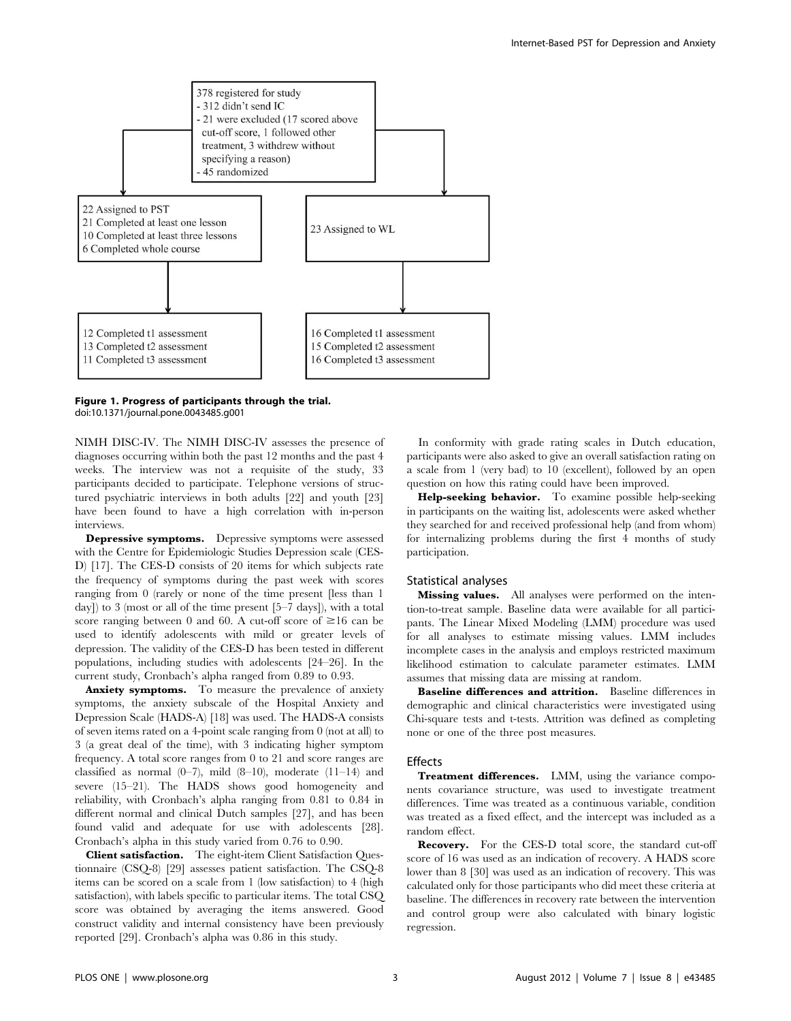

Figure 1. Progress of participants through the trial. doi:10.1371/journal.pone.0043485.g001

NIMH DISC-IV. The NIMH DISC-IV assesses the presence of diagnoses occurring within both the past 12 months and the past 4 weeks. The interview was not a requisite of the study, 33 participants decided to participate. Telephone versions of structured psychiatric interviews in both adults [22] and youth [23] have been found to have a high correlation with in-person interviews.

Depressive symptoms. Depressive symptoms were assessed with the Centre for Epidemiologic Studies Depression scale (CES-D) [17]. The CES-D consists of 20 items for which subjects rate the frequency of symptoms during the past week with scores ranging from 0 (rarely or none of the time present [less than 1 day]) to 3 (most or all of the time present [5–7 days]), with a total score ranging between 0 and 60. A cut-off score of  $\geq 16$  can be used to identify adolescents with mild or greater levels of depression. The validity of the CES-D has been tested in different populations, including studies with adolescents [24–26]. In the current study, Cronbach's alpha ranged from 0.89 to 0.93.

Anxiety symptoms. To measure the prevalence of anxiety symptoms, the anxiety subscale of the Hospital Anxiety and Depression Scale (HADS-A) [18] was used. The HADS-A consists of seven items rated on a 4-point scale ranging from 0 (not at all) to 3 (a great deal of the time), with 3 indicating higher symptom frequency. A total score ranges from 0 to 21 and score ranges are classified as normal  $(0-7)$ , mild  $(8-10)$ , moderate  $(11-14)$  and severe (15–21). The HADS shows good homogeneity and reliability, with Cronbach's alpha ranging from 0.81 to 0.84 in different normal and clinical Dutch samples [27], and has been found valid and adequate for use with adolescents [28]. Cronbach's alpha in this study varied from 0.76 to 0.90.

Client satisfaction. The eight-item Client Satisfaction Questionnaire (CSQ-8) [29] assesses patient satisfaction. The CSQ-8 items can be scored on a scale from 1 (low satisfaction) to 4 (high satisfaction), with labels specific to particular items. The total CSQ score was obtained by averaging the items answered. Good construct validity and internal consistency have been previously reported [29]. Cronbach's alpha was 0.86 in this study.

In conformity with grade rating scales in Dutch education, participants were also asked to give an overall satisfaction rating on a scale from 1 (very bad) to 10 (excellent), followed by an open question on how this rating could have been improved.

Help-seeking behavior. To examine possible help-seeking in participants on the waiting list, adolescents were asked whether they searched for and received professional help (and from whom) for internalizing problems during the first 4 months of study participation.

#### Statistical analyses

Missing values. All analyses were performed on the intention-to-treat sample. Baseline data were available for all participants. The Linear Mixed Modeling (LMM) procedure was used for all analyses to estimate missing values. LMM includes incomplete cases in the analysis and employs restricted maximum likelihood estimation to calculate parameter estimates. LMM assumes that missing data are missing at random.

Baseline differences and attrition. Baseline differences in demographic and clinical characteristics were investigated using Chi-square tests and t-tests. Attrition was defined as completing none or one of the three post measures.

#### Effects

Treatment differences. LMM, using the variance components covariance structure, was used to investigate treatment differences. Time was treated as a continuous variable, condition was treated as a fixed effect, and the intercept was included as a random effect.

Recovery. For the CES-D total score, the standard cut-off score of 16 was used as an indication of recovery. A HADS score lower than 8 [30] was used as an indication of recovery. This was calculated only for those participants who did meet these criteria at baseline. The differences in recovery rate between the intervention and control group were also calculated with binary logistic regression.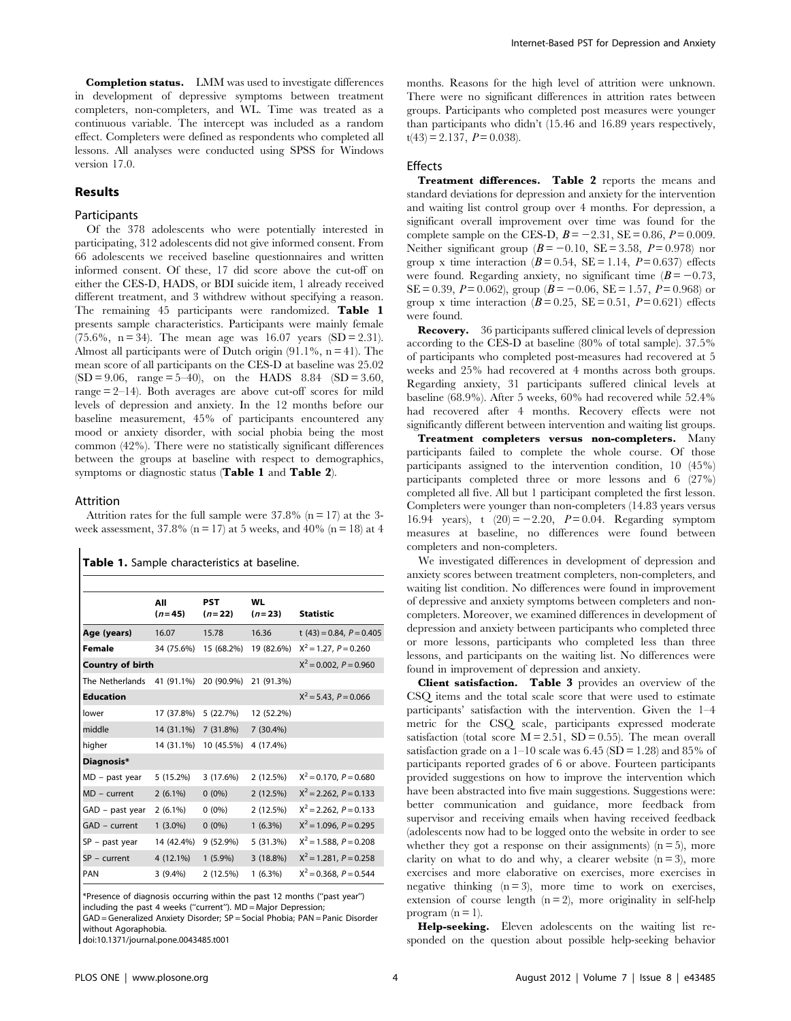Completion status. LMM was used to investigate differences in development of depressive symptoms between treatment completers, non-completers, and WL. Time was treated as a continuous variable. The intercept was included as a random effect. Completers were defined as respondents who completed all lessons. All analyses were conducted using SPSS for Windows version 17.0.

#### Results

#### Participants

Of the 378 adolescents who were potentially interested in participating, 312 adolescents did not give informed consent. From 66 adolescents we received baseline questionnaires and written informed consent. Of these, 17 did score above the cut-off on either the CES-D, HADS, or BDI suicide item, 1 already received different treatment, and 3 withdrew without specifying a reason. The remaining 45 participants were randomized. Table 1 presents sample characteristics. Participants were mainly female (75.6%, n = 34). The mean age was  $16.07$  years (SD = 2.31). Almost all participants were of Dutch origin  $(91.1\%, n = 41)$ . The mean score of all participants on the CES-D at baseline was 25.02  $(SD = 9.06, \text{ range} = 5-40), \text{ on the HADS } 8.84 \text{ (SD} = 3.60,$ range  $= 2-14$ ). Both averages are above cut-off scores for mild levels of depression and anxiety. In the 12 months before our baseline measurement, 45% of participants encountered any mood or anxiety disorder, with social phobia being the most common (42%). There were no statistically significant differences between the groups at baseline with respect to demographics, symptoms or diagnostic status (Table 1 and Table 2).

#### Attrition

Attrition rates for the full sample were  $37.8\%$  (n = 17) at the 3week assessment, 37.8% ( $n = 17$ ) at 5 weeks, and 40% ( $n = 18$ ) at 4

| Table 1. Sample characteristics at baseline. |
|----------------------------------------------|
|                                              |

|                         | All<br>$(n=45)$ | <b>PST</b><br>$(n=22)$ | WL<br>$(n=23)$ | <b>Statistic</b>              |
|-------------------------|-----------------|------------------------|----------------|-------------------------------|
| Age (years)             | 16.07           | 15.78                  | 16.36          | t $(43) = 0.84$ , $P = 0.405$ |
| Female                  | 34 (75.6%)      | 15 (68.2%)             | 19 (82.6%)     | $X^2 = 1.27$ , $P = 0.260$    |
| <b>Country of birth</b> |                 |                        |                | $X^2 = 0.002$ , $P = 0.960$   |
| The Netherlands         | 41 (91.1%)      | 20 (90.9%)             | 21 (91.3%)     |                               |
| <b>Education</b>        |                 |                        |                | $X^2$ = 5.43, P = 0.066       |
| lower                   | 17 (37.8%)      | 5 (22.7%)              | 12 (52.2%)     |                               |
| middle                  | 14 (31.1%)      | 7 (31.8%)              | 7(30.4%)       |                               |
| higher                  | 14 (31.1%)      | 10 (45.5%)             | 4 (17.4%)      |                               |
| Diagnosis*              |                 |                        |                |                               |
| $MD - past year$        | 5 (15.2%)       | 3 (17.6%)              | 2 (12.5%)      | $X^2$ = 0.170, P = 0.680      |
| $MD$ – current          | $2(6.1\%)$      | $0(0\%)$               | 2(12.5%)       | $X^2$ = 2.262, P = 0.133      |
| GAD - past year         | $2(6.1\%)$      | $0(0\%)$               | 2 (12.5%)      | $X^2$ = 2.262, P = 0.133      |
| GAD - current           | $1(3.0\%)$      | $0(0\%)$               | $1(6.3\%)$     | $X^2$ = 1.096, P = 0.295      |
| $SP - past year$        | 14 (42.4%)      | 9 (52.9%)              | 5 (31.3%)      | $X^2 = 1.588$ , $P = 0.208$   |
| $SP - current$          | 4 (12.1%)       | $1(5.9\%)$             | 3(18.8%)       | $X^2$ = 1.281, P = 0.258      |
| PAN                     | $3(9.4\%)$      | 2(12.5%)               | $1(6.3\%)$     | $X^2 = 0.368$ , $P = 0.544$   |

\*Presence of diagnosis occurring within the past 12 months (''past year'') including the past 4 weeks (''current''). MD = Major Depression; GAD = Generalized Anxiety Disorder; SP = Social Phobia; PAN = Panic Disorder without Agoraphobia.

doi:10.1371/journal.pone.0043485.t001

months. Reasons for the high level of attrition were unknown. There were no significant differences in attrition rates between groups. Participants who completed post measures were younger than participants who didn't (15.46 and 16.89 years respectively,  $t(43) = 2.137$ ,  $P = 0.038$ ).

#### **Effects**

Treatment differences. Table 2 reports the means and standard deviations for depression and anxiety for the intervention and waiting list control group over 4 months. For depression, a significant overall improvement over time was found for the complete sample on the CES-D,  $B = -2.31$ , SE = 0.86,  $P = 0.009$ . Neither significant group  $(B = -0.10, \text{ SE} = 3.58, P = 0.978)$  nor group x time interaction  $(B=0.54, \text{ SE} = 1.14, P = 0.637)$  effects were found. Regarding anxiety, no significant time  $(B = -0.73$ ,  $SE = 0.39$ ,  $P = 0.062$ ), group  $(B = -0.06, SE = 1.57, P = 0.968)$  or group x time interaction  $(B=0.25, SE=0.51, P=0.621)$  effects were found.

Recovery. 36 participants suffered clinical levels of depression according to the CES-D at baseline (80% of total sample). 37.5% of participants who completed post-measures had recovered at 5 weeks and 25% had recovered at 4 months across both groups. Regarding anxiety, 31 participants suffered clinical levels at baseline (68.9%). After 5 weeks, 60% had recovered while 52.4% had recovered after 4 months. Recovery effects were not significantly different between intervention and waiting list groups.

Treatment completers versus non-completers. Many participants failed to complete the whole course. Of those participants assigned to the intervention condition, 10 (45%) participants completed three or more lessons and 6 (27%) completed all five. All but 1 participant completed the first lesson. Completers were younger than non-completers (14.83 years versus 16.94 years), t  $(20) = -2.20$ ,  $P = 0.04$ . Regarding symptom measures at baseline, no differences were found between completers and non-completers.

We investigated differences in development of depression and anxiety scores between treatment completers, non-completers, and waiting list condition. No differences were found in improvement of depressive and anxiety symptoms between completers and noncompleters. Moreover, we examined differences in development of depression and anxiety between participants who completed three or more lessons, participants who completed less than three lessons, and participants on the waiting list. No differences were found in improvement of depression and anxiety.

Client satisfaction. Table 3 provides an overview of the CSQ items and the total scale score that were used to estimate participants' satisfaction with the intervention. Given the 1–4 metric for the CSQ scale, participants expressed moderate satisfaction (total score  $M = 2.51$ ,  $SD = 0.55$ ). The mean overall satisfaction grade on a  $1-10$  scale was 6.45 (SD = 1.28) and 85% of participants reported grades of 6 or above. Fourteen participants provided suggestions on how to improve the intervention which have been abstracted into five main suggestions. Suggestions were: better communication and guidance, more feedback from supervisor and receiving emails when having received feedback (adolescents now had to be logged onto the website in order to see whether they got a response on their assignments)  $(n = 5)$ , more clarity on what to do and why, a clearer website  $(n = 3)$ , more exercises and more elaborative on exercises, more exercises in negative thinking  $(n = 3)$ , more time to work on exercises, extension of course length  $(n = 2)$ , more originality in self-help program  $(n = 1)$ .

Help-seeking. Eleven adolescents on the waiting list responded on the question about possible help-seeking behavior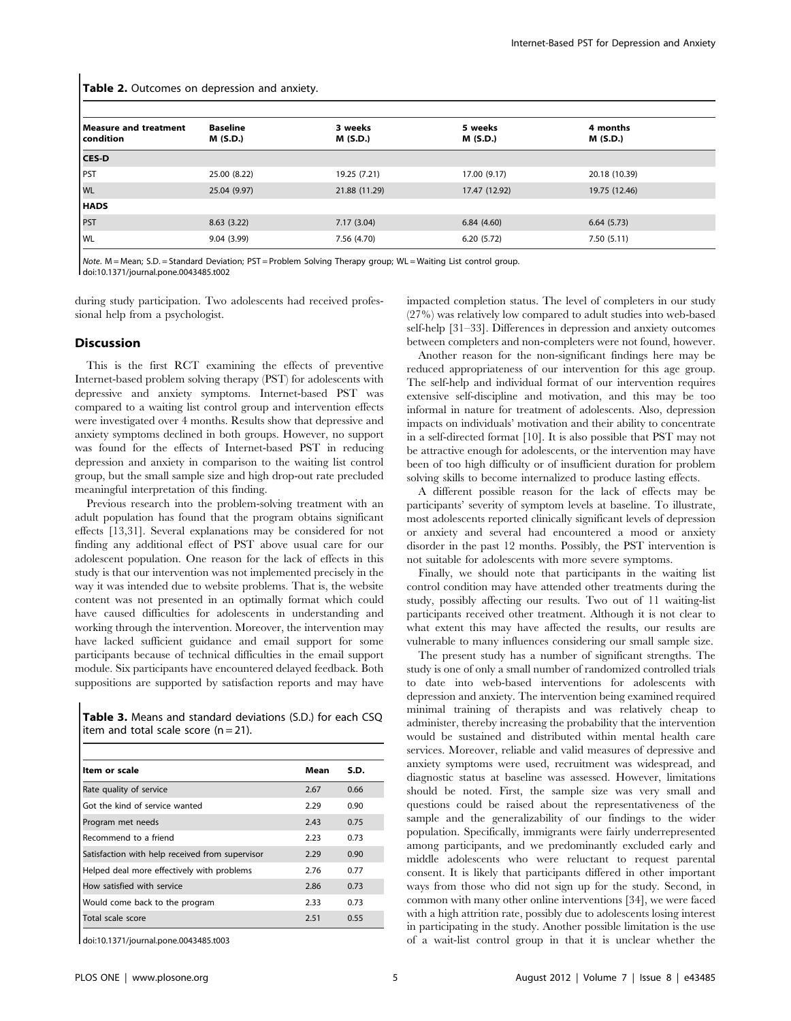#### Table 2. Outcomes on depression and anxiety.

| Measure and treatment<br>  condition | <b>Baseline</b><br>M (S.D.) | 3 weeks<br>$M$ (S.D.) | 5 weeks<br>M (S.D.) | 4 months<br>M (S.D.) |
|--------------------------------------|-----------------------------|-----------------------|---------------------|----------------------|
| <b>CES-D</b>                         |                             |                       |                     |                      |
|                                      |                             |                       |                     |                      |
| <b>PST</b>                           | 25.00 (8.22)                | 19.25 (7.21)          | 17.00 (9.17)        | 20.18 (10.39)        |
| <b>WL</b>                            | 25.04 (9.97)                | 21.88 (11.29)         | 17.47 (12.92)       | 19.75 (12.46)        |
| <b>HADS</b>                          |                             |                       |                     |                      |
| <b>PST</b>                           | 8.63(3.22)                  | 7.17(3.04)            | 6.84(4.60)          | 6.64(5.73)           |
| <b>WL</b>                            | 9.04(3.99)                  | 7.56 (4.70)           | 6.20(5.72)          | 7.50(5.11)           |

Note. M = Mean; S.D. = Standard Deviation; PST = Problem Solving Therapy group; WL = Waiting List control group. doi:10.1371/journal.pone.0043485.t002

during study participation. Two adolescents had received professional help from a psychologist.

## Discussion

This is the first RCT examining the effects of preventive Internet-based problem solving therapy (PST) for adolescents with depressive and anxiety symptoms. Internet-based PST was compared to a waiting list control group and intervention effects were investigated over 4 months. Results show that depressive and anxiety symptoms declined in both groups. However, no support was found for the effects of Internet-based PST in reducing depression and anxiety in comparison to the waiting list control group, but the small sample size and high drop-out rate precluded meaningful interpretation of this finding.

Previous research into the problem-solving treatment with an adult population has found that the program obtains significant effects [13,31]. Several explanations may be considered for not finding any additional effect of PST above usual care for our adolescent population. One reason for the lack of effects in this study is that our intervention was not implemented precisely in the way it was intended due to website problems. That is, the website content was not presented in an optimally format which could have caused difficulties for adolescents in understanding and working through the intervention. Moreover, the intervention may have lacked sufficient guidance and email support for some participants because of technical difficulties in the email support module. Six participants have encountered delayed feedback. Both suppositions are supported by satisfaction reports and may have

Table 3. Means and standard deviations (S.D.) for each CSQ item and total scale score  $(n = 21)$ .

| Item or scale                                   | Mean | S.D. |
|-------------------------------------------------|------|------|
| Rate quality of service                         | 2.67 | 0.66 |
| Got the kind of service wanted                  | 2.29 | 0.90 |
| Program met needs                               | 2.43 | 0.75 |
| Recommend to a friend                           | 2.23 | 0.73 |
| Satisfaction with help received from supervisor | 2.29 | 0.90 |
| Helped deal more effectively with problems      | 2.76 | 0.77 |
| How satisfied with service                      | 2.86 | 0.73 |
| Would come back to the program                  | 2.33 | 0.73 |
| Total scale score                               | 2.51 | 0.55 |

doi:10.1371/journal.pone.0043485.t003

impacted completion status. The level of completers in our study (27%) was relatively low compared to adult studies into web-based self-help [31–33]. Differences in depression and anxiety outcomes between completers and non-completers were not found, however.

Another reason for the non-significant findings here may be reduced appropriateness of our intervention for this age group. The self-help and individual format of our intervention requires extensive self-discipline and motivation, and this may be too informal in nature for treatment of adolescents. Also, depression impacts on individuals' motivation and their ability to concentrate in a self-directed format [10]. It is also possible that PST may not be attractive enough for adolescents, or the intervention may have been of too high difficulty or of insufficient duration for problem solving skills to become internalized to produce lasting effects.

A different possible reason for the lack of effects may be participants' severity of symptom levels at baseline. To illustrate, most adolescents reported clinically significant levels of depression or anxiety and several had encountered a mood or anxiety disorder in the past 12 months. Possibly, the PST intervention is not suitable for adolescents with more severe symptoms.

Finally, we should note that participants in the waiting list control condition may have attended other treatments during the study, possibly affecting our results. Two out of 11 waiting-list participants received other treatment. Although it is not clear to what extent this may have affected the results, our results are vulnerable to many influences considering our small sample size.

The present study has a number of significant strengths. The study is one of only a small number of randomized controlled trials to date into web-based interventions for adolescents with depression and anxiety. The intervention being examined required minimal training of therapists and was relatively cheap to administer, thereby increasing the probability that the intervention would be sustained and distributed within mental health care services. Moreover, reliable and valid measures of depressive and anxiety symptoms were used, recruitment was widespread, and diagnostic status at baseline was assessed. However, limitations should be noted. First, the sample size was very small and questions could be raised about the representativeness of the sample and the generalizability of our findings to the wider population. Specifically, immigrants were fairly underrepresented among participants, and we predominantly excluded early and middle adolescents who were reluctant to request parental consent. It is likely that participants differed in other important ways from those who did not sign up for the study. Second, in common with many other online interventions [34], we were faced with a high attrition rate, possibly due to adolescents losing interest in participating in the study. Another possible limitation is the use of a wait-list control group in that it is unclear whether the